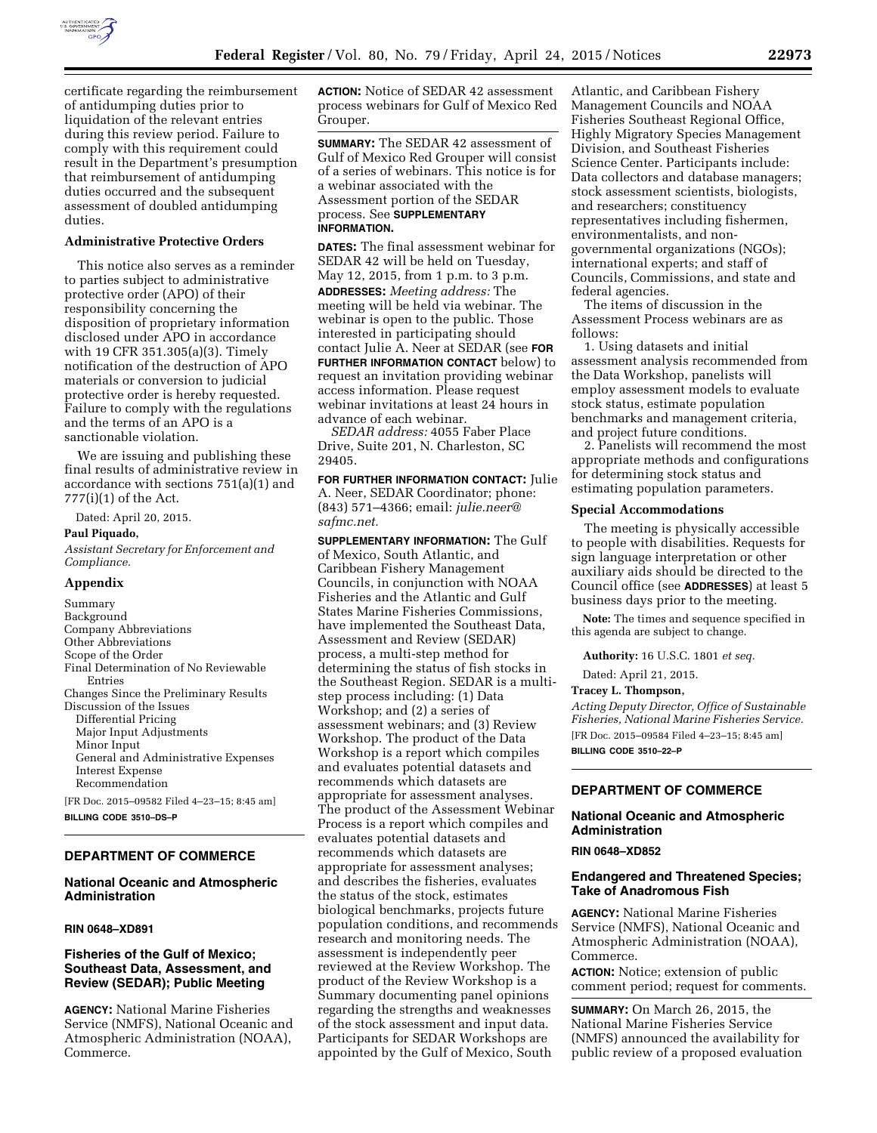

certificate regarding the reimbursement of antidumping duties prior to liquidation of the relevant entries during this review period. Failure to comply with this requirement could result in the Department's presumption that reimbursement of antidumping duties occurred and the subsequent assessment of doubled antidumping duties.

#### **Administrative Protective Orders**

This notice also serves as a reminder to parties subject to administrative protective order (APO) of their responsibility concerning the disposition of proprietary information disclosed under APO in accordance with 19 CFR 351.305(a)(3). Timely notification of the destruction of APO materials or conversion to judicial protective order is hereby requested. Failure to comply with the regulations and the terms of an APO is a sanctionable violation.

We are issuing and publishing these final results of administrative review in accordance with sections 751(a)(1) and 777(i)(1) of the Act.

Dated: April 20, 2015.

**Paul Piquado,** 

*Assistant Secretary for Enforcement and Compliance.* 

#### **Appendix**

Summary Background Company Abbreviations Other Abbreviations Scope of the Order Final Determination of No Reviewable Entries Changes Since the Preliminary Results Discussion of the Issues Differential Pricing Major Input Adjustments Minor Input General and Administrative Expenses Interest Expense Recommendation

[FR Doc. 2015–09582 Filed 4–23–15; 8:45 am] **BILLING CODE 3510–DS–P** 

# **DEPARTMENT OF COMMERCE**

## **National Oceanic and Atmospheric Administration**

## **RIN 0648–XD891**

## **Fisheries of the Gulf of Mexico; Southeast Data, Assessment, and Review (SEDAR); Public Meeting**

**AGENCY:** National Marine Fisheries Service (NMFS), National Oceanic and Atmospheric Administration (NOAA), Commerce.

**ACTION:** Notice of SEDAR 42 assessment process webinars for Gulf of Mexico Red Grouper.

**SUMMARY:** The SEDAR 42 assessment of Gulf of Mexico Red Grouper will consist of a series of webinars. This notice is for a webinar associated with the Assessment portion of the SEDAR process. See **SUPPLEMENTARY INFORMATION.** 

**DATES:** The final assessment webinar for SEDAR 42 will be held on Tuesday, May 12, 2015, from 1 p.m. to 3 p.m. **ADDRESSES:** *Meeting address:* The meeting will be held via webinar. The webinar is open to the public. Those interested in participating should contact Julie A. Neer at SEDAR (see **FOR FURTHER INFORMATION CONTACT** below) to request an invitation providing webinar access information. Please request webinar invitations at least 24 hours in advance of each webinar.

*SEDAR address:* 4055 Faber Place Drive, Suite 201, N. Charleston, SC 29405.

**FOR FURTHER INFORMATION CONTACT:** Julie A. Neer, SEDAR Coordinator; phone: (843) 571–4366; email: *[julie.neer@](mailto:julie.neer@safmc.net) [safmc.net.](mailto:julie.neer@safmc.net)* 

**SUPPLEMENTARY INFORMATION:** The Gulf of Mexico, South Atlantic, and Caribbean Fishery Management Councils, in conjunction with NOAA Fisheries and the Atlantic and Gulf States Marine Fisheries Commissions, have implemented the Southeast Data, Assessment and Review (SEDAR) process, a multi-step method for determining the status of fish stocks in the Southeast Region. SEDAR is a multistep process including: (1) Data Workshop; and (2) a series of assessment webinars; and (3) Review Workshop. The product of the Data Workshop is a report which compiles and evaluates potential datasets and recommends which datasets are appropriate for assessment analyses. The product of the Assessment Webinar Process is a report which compiles and evaluates potential datasets and recommends which datasets are appropriate for assessment analyses; and describes the fisheries, evaluates the status of the stock, estimates biological benchmarks, projects future population conditions, and recommends research and monitoring needs. The assessment is independently peer reviewed at the Review Workshop. The product of the Review Workshop is a Summary documenting panel opinions regarding the strengths and weaknesses of the stock assessment and input data. Participants for SEDAR Workshops are appointed by the Gulf of Mexico, South

Atlantic, and Caribbean Fishery Management Councils and NOAA Fisheries Southeast Regional Office, Highly Migratory Species Management Division, and Southeast Fisheries Science Center. Participants include: Data collectors and database managers; stock assessment scientists, biologists, and researchers; constituency representatives including fishermen, environmentalists, and nongovernmental organizations (NGOs); international experts; and staff of Councils, Commissions, and state and federal agencies.

The items of discussion in the Assessment Process webinars are as follows:

1. Using datasets and initial assessment analysis recommended from the Data Workshop, panelists will employ assessment models to evaluate stock status, estimate population benchmarks and management criteria, and project future conditions.

2. Panelists will recommend the most appropriate methods and configurations for determining stock status and estimating population parameters.

#### **Special Accommodations**

The meeting is physically accessible to people with disabilities. Requests for sign language interpretation or other auxiliary aids should be directed to the Council office (see **ADDRESSES**) at least 5 business days prior to the meeting.

**Note:** The times and sequence specified in this agenda are subject to change.

**Authority:** 16 U.S.C. 1801 *et seq.* 

Dated: April 21, 2015.

#### **Tracey L. Thompson,**

*Acting Deputy Director, Office of Sustainable Fisheries, National Marine Fisheries Service.*  [FR Doc. 2015–09584 Filed 4–23–15; 8:45 am]

**BILLING CODE 3510–22–P** 

## **DEPARTMENT OF COMMERCE**

## **National Oceanic and Atmospheric Administration**

**RIN 0648–XD852** 

### **Endangered and Threatened Species; Take of Anadromous Fish**

**AGENCY:** National Marine Fisheries Service (NMFS), National Oceanic and Atmospheric Administration (NOAA), Commerce.

**ACTION:** Notice; extension of public comment period; request for comments.

**SUMMARY:** On March 26, 2015, the National Marine Fisheries Service (NMFS) announced the availability for public review of a proposed evaluation